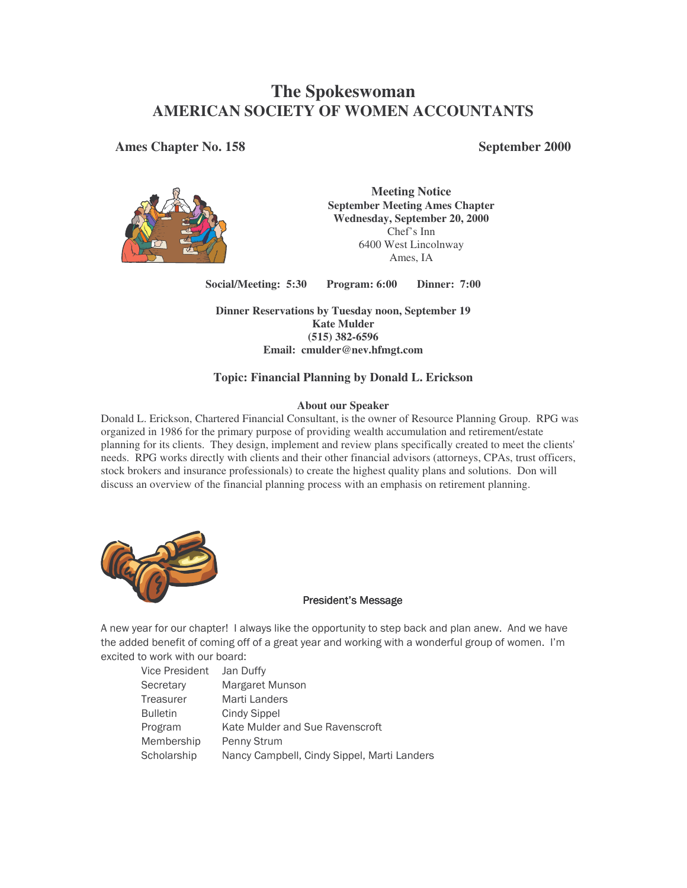# **The Spokeswoman AMERICAN SOCIETY OF WOMEN ACCOUNTANTS**

**Ames Chapter No. 158 September 2000**



**Meeting Notice September Meeting Ames Chapter Wednesday, September 20, 2000** Chef's Inn 6400 West Lincolnway Ames, IA

**Social/Meeting: 5:30 Program: 6:00 Dinner: 7:00**

**Dinner Reservations by Tuesday noon, September 19 Kate Mulder (515) 382-6596 Email: cmulder@nev.hfmgt.com**

### **Topic: Financial Planning by Donald L. Erickson**

#### **About our Speaker**

Donald L. Erickson, Chartered Financial Consultant, is the owner of Resource Planning Group. RPG was organized in 1986 for the primary purpose of providing wealth accumulation and retirement/estate planning for its clients. They design, implement and review plans specifically created to meet the clients' needs. RPG works directly with clients and their other financial advisors (attorneys, CPAs, trust officers, stock brokers and insurance professionals) to create the highest quality plans and solutions. Don will discuss an overview of the financial planning process with an emphasis on retirement planning.



#### **President's Message**

A new year for our chapter! I always like the opportunity to step back and plan anew. And we have the added benefit of coming off of a great year and working with a wonderful group of women. I'm excited to work with our board:

| Vice President  | Jan Duffy                                   |
|-----------------|---------------------------------------------|
| Secretary       | Margaret Munson                             |
| Treasurer       | Marti Landers                               |
| <b>Bulletin</b> | Cindy Sippel                                |
| Program         | Kate Mulder and Sue Ravenscroft             |
| Membership      | Penny Strum                                 |
| Scholarship     | Nancy Campbell, Cindy Sippel, Marti Landers |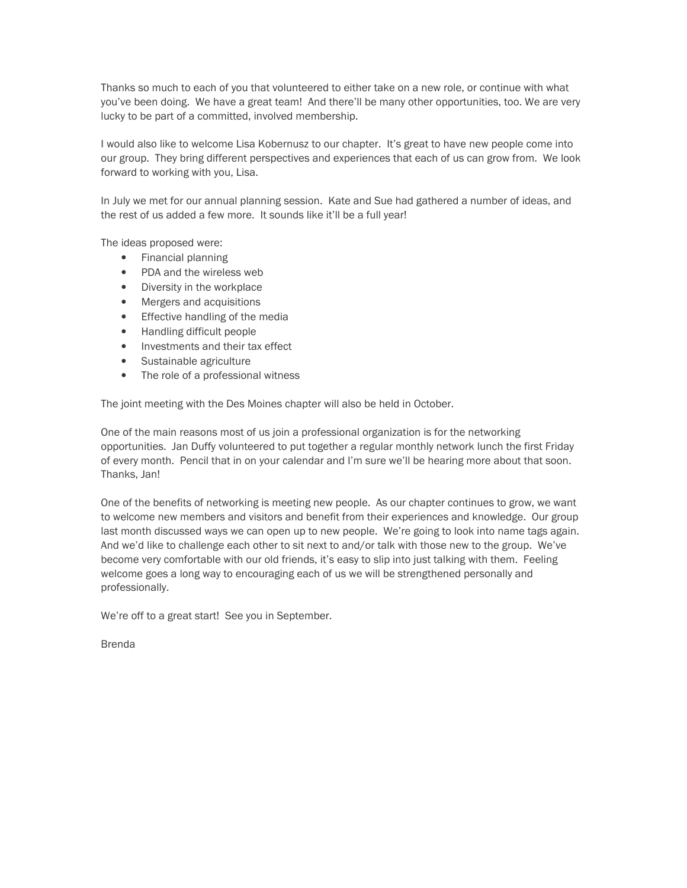Thanks so much to each of you that volunteered to either take on a new role, or continue with what you've been doing. We have a great team! And there'll be many other opportunities, too. We are very lucky to be part of a committed, involved membership.

I would also like to welcome Lisa Kobernusz to our chapter. It's great to have new people come into our group. They bring different perspectives and experiences that each of us can grow from. We look forward to working with you, Lisa.

In July we met for our annual planning session. Kate and Sue had gathered a number of ideas, and the rest of us added a few more. It sounds like it'll be a full year!

The ideas proposed were:

- Financial planning
- PDA and the wireless web
- Diversity in the workplace
- Mergers and acquisitions
- Effective handling of the media
- Handling difficult people
- Investments and their tax effect
- Sustainable agriculture
- The role of a professional witness

The joint meeting with the Des Moines chapter will also be held in October.

One of the main reasons most of us join a professional organization is for the networking opportunities. Jan Duffy volunteered to put together a regular monthly network lunch the first Friday of every month. Pencil that in on your calendar and I'm sure we'll be hearing more about that soon. Thanks, Jan!

One of the benefits of networking is meeting new people. As our chapter continues to grow, we want to welcome new members and visitors and benefit from their experiences and knowledge. Our group last month discussed ways we can open up to new people. We're going to look into name tags again. And we'd like to challenge each other to sit next to and/or talk with those new to the group. We've become very comfortable with our old friends, it's easy to slip into just talking with them. Feeling welcome goes a long way to encouraging each of us we will be strengthened personally and professionally.

We're off to a great start! See you in September.

**Brenda**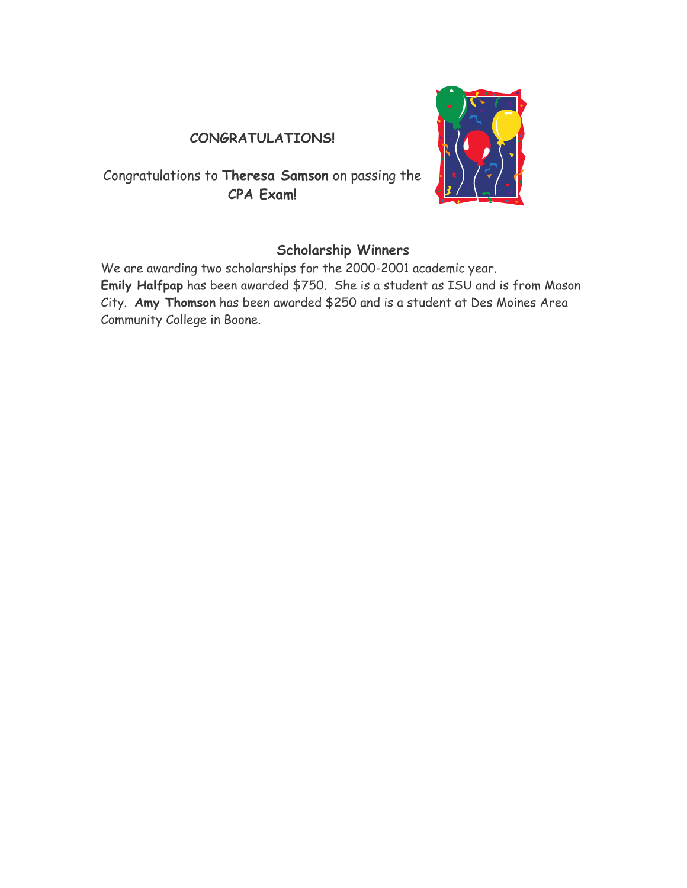## CONGRATULATIONS!

Congratulations to Theresa Samson on passing the CPA Exam!



## **Scholarship Winners**

We are awarding two scholarships for the 2000-2001 academic year. Emily Halfpap has been awarded \$750. She is a student as ISU and is from Mason City. Amy Thomson has been awarded \$250 and is a student at Des Moines Area Community College in Boone.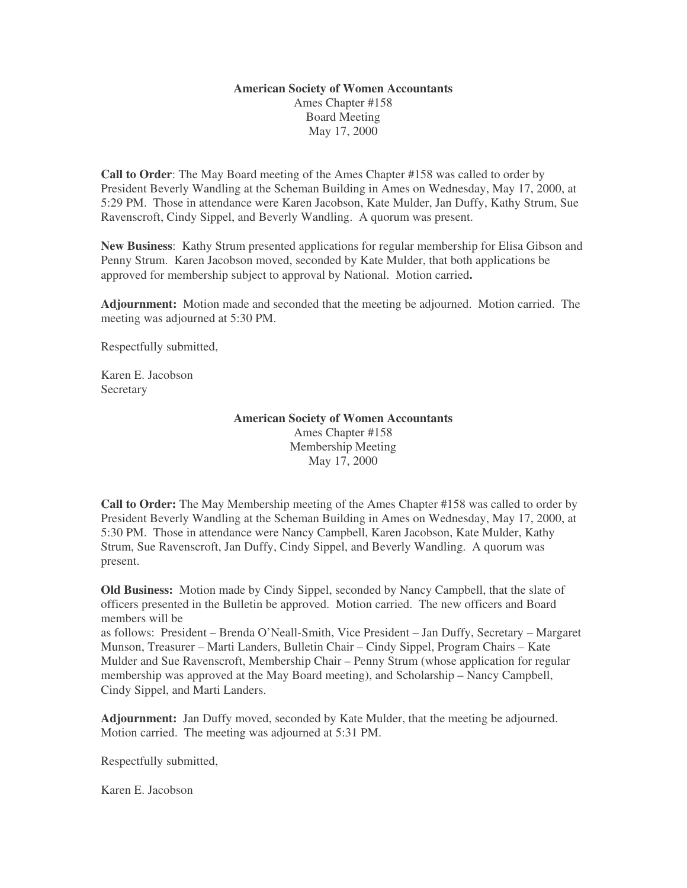### **American Society of Women Accountants** Ames Chapter #158 Board Meeting May 17, 2000

**Call to Order**: The May Board meeting of the Ames Chapter #158 was called to order by President Beverly Wandling at the Scheman Building in Ames on Wednesday, May 17, 2000, at 5:29 PM. Those in attendance were Karen Jacobson, Kate Mulder, Jan Duffy, Kathy Strum, Sue Ravenscroft, Cindy Sippel, and Beverly Wandling. A quorum was present.

**New Business**: Kathy Strum presented applications for regular membership for Elisa Gibson and Penny Strum. Karen Jacobson moved, seconded by Kate Mulder, that both applications be approved for membership subject to approval by National. Motion carried**.**

**Adjournment:** Motion made and seconded that the meeting be adjourned. Motion carried. The meeting was adjourned at 5:30 PM.

Respectfully submitted,

Karen E. Jacobson **Secretary** 

#### **American Society of Women Accountants**

Ames Chapter #158 Membership Meeting May 17, 2000

**Call to Order:** The May Membership meeting of the Ames Chapter #158 was called to order by President Beverly Wandling at the Scheman Building in Ames on Wednesday, May 17, 2000, at 5:30 PM. Those in attendance were Nancy Campbell, Karen Jacobson, Kate Mulder, Kathy Strum, Sue Ravenscroft, Jan Duffy, Cindy Sippel, and Beverly Wandling. A quorum was present.

**Old Business:** Motion made by Cindy Sippel, seconded by Nancy Campbell, that the slate of officers presented in the Bulletin be approved. Motion carried. The new officers and Board members will be

as follows: President – Brenda O'Neall-Smith, Vice President – Jan Duffy, Secretary – Margaret Munson, Treasurer – Marti Landers, Bulletin Chair – Cindy Sippel, Program Chairs – Kate Mulder and Sue Ravenscroft, Membership Chair – Penny Strum (whose application for regular membership was approved at the May Board meeting), and Scholarship – Nancy Campbell, Cindy Sippel, and Marti Landers.

**Adjournment:** Jan Duffy moved, seconded by Kate Mulder, that the meeting be adjourned. Motion carried. The meeting was adjourned at 5:31 PM.

Respectfully submitted,

Karen E. Jacobson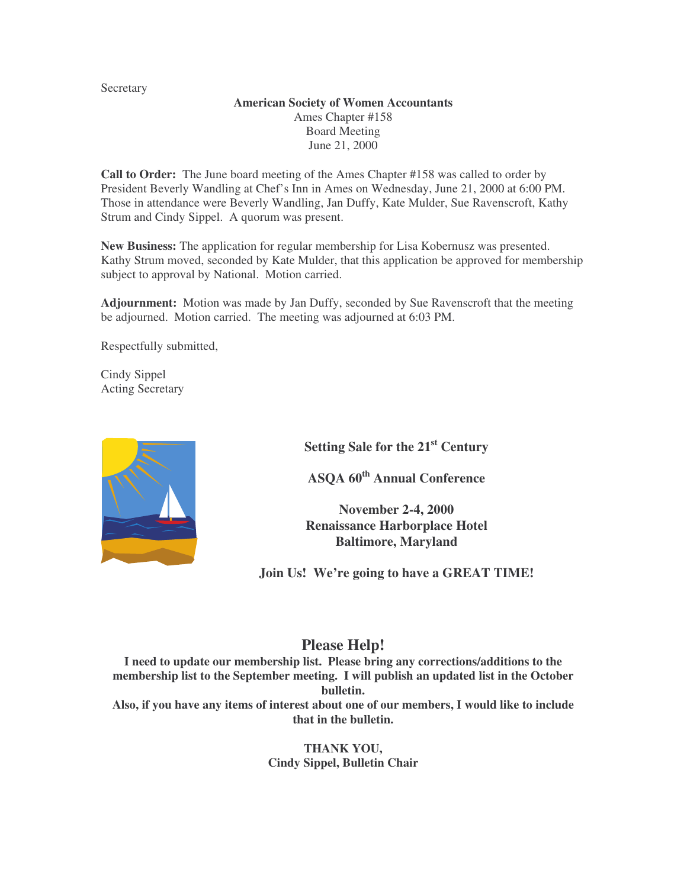Secretary

### **American Society of Women Accountants** Ames Chapter #158 Board Meeting June 21, 2000

**Call to Order:** The June board meeting of the Ames Chapter #158 was called to order by President Beverly Wandling at Chef's Inn in Ames on Wednesday, June 21, 2000 at 6:00 PM. Those in attendance were Beverly Wandling, Jan Duffy, Kate Mulder, Sue Ravenscroft, Kathy Strum and Cindy Sippel. A quorum was present.

**New Business:** The application for regular membership for Lisa Kobernusz was presented. Kathy Strum moved, seconded by Kate Mulder, that this application be approved for membership subject to approval by National. Motion carried.

**Adjournment:** Motion was made by Jan Duffy, seconded by Sue Ravenscroft that the meeting be adjourned. Motion carried. The meeting was adjourned at 6:03 PM.

Respectfully submitted,

Cindy Sippel Acting Secretary



**Setting Sale for the 21 st Century**

**ASQA 60 th Annual Conference**

**November 2-4, 2000 Renaissance Harborplace Hotel Baltimore, Maryland**

**Join Us! We're going to have a GREAT TIME!**

### **Please Help!**

**I need to update our membership list. Please bring any corrections/additions to the membership list to the September meeting. I will publish an updated list in the October bulletin. Also, if you have any items of interest about one of our members, I would like to include that in the bulletin.**

> **THANK YOU, Cindy Sippel, Bulletin Chair**